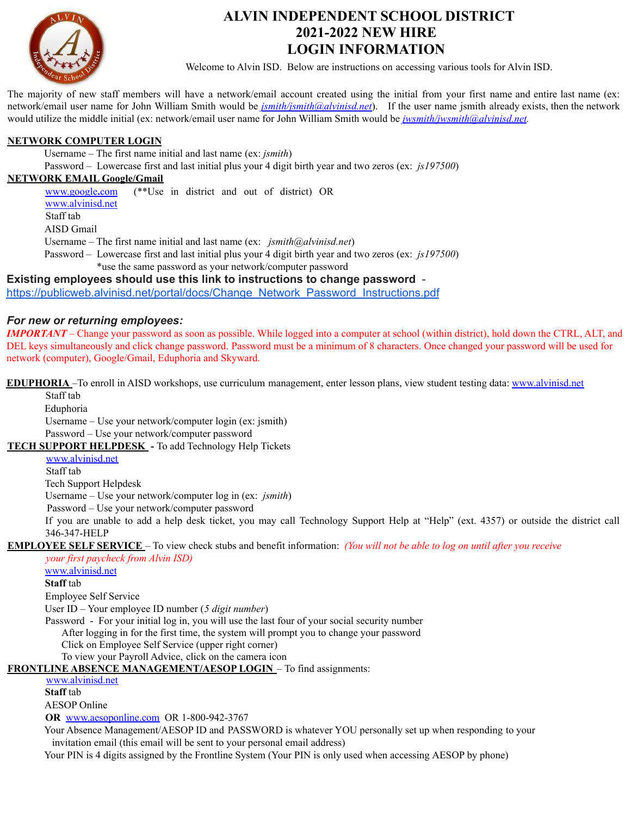

## **ALVIN INDEPENDENT SCHOOL DISTRICT 2021-2022 NEW HIRE LOGIN INFORMATION**

Welcome to Alvin ISD. Below are instructions on accessing various tools for Alvin ISD.

The majority of new staff members will have a network/email account created using the initial from your first name and entire last name (ex: network/email user name for John William Smith would be *jsmith/jsmith@alvinisd.net*). If the user name jsmith already exists, then the network would utilize the middle initial (ex: network/email user name for John William Smith would be *jwsmith/jwsmith@alvinisd.net*.

#### **NETWORK COMPUTER LOGIN**

Username – The first name initial and last name (ex: *jsmith*)

Password – Lowercase first and last initial plus your 4 digit birth year and two zeros (ex: *js197500*)

#### **NETWORK EMAIL Google/Gmail**

[www.google](http://www.google.com/)**.**com (\*\*Use in district and out of district) OR [www.alvinisd.net](http://www.alvinisd.net/) Staff tab AISD Gmail Username – The first name initial and last name (ex: *jsmith@alvinisd.net*) Password – Lowercase first and last initial plus your 4 digit birth year and two zeros (ex: *js197500*) \*use the same password as your network/computer password **Existing employees should use this link to instructions to change password** -

### [https://publicweb.alvinisd.net/portal/docs/Change\\_Network\\_Password\\_Instructions.pdf](https://publicweb.alvinisd.net/portal/docs/Change_Network_Password_Instructions.pdf)

#### *For new or returning employees:*

*IMPORTANT* – Change your password as soon as possible. While logged into a computer at school (within district), hold down the CTRL, ALT, and DEL keys simultaneously and click change password. Password must be a minimum of 8 characters. Once changed your password will be used for network (computer), Google/Gmail, Eduphoria and Skyward.

**EDUPHORIA** –To enroll in AISD workshops, use curriculum management, enter lesson plans, view student testing data: [www.alvinisd.net](http://www.alvinisd.net/)

Staff tab

Eduphoria

Username – Use your network/computer login (ex: jsmith)

Password – Use your network/computer password

**TECH SUPPORT HELPDESK** - To add Technology Help Tickets

[www.alvinisd.net](http://www.alvinisd.net/)

Staff tab

Tech Support Helpdesk

Username – Use your network/computer log in (ex: *jsmith*)

Password – Use your network/computer password

If you are unable to add a help desk ticket, you may call Technology Support Help at "Help" (ext. 4357) or outside the district call 346-347-HELP

**EMPLOYEE SELF SERVICE** – To view check stubs and benefit information: *(You will not be able to log on until after you receive*

#### *your first paycheck from Alvin ISD)*

[www.alvinisd.net](http://www.alvinisd.net/)

#### **Staff** tab

Employee Self Service

User ID – Your employee ID number (*5 digit number*)

Password - For your initial log in, you will use the last four of your social security number

After logging in for the first time, the system will prompt you to change your password

Click on Employee Self Service (upper right corner)

To view your Payroll Advice, click on the camera icon

**FRONTLINE ABSENCE MANAGEMENT/AESOP LOGIN** – To find assignments:

[www.alvinisd.net](http://www.alvinisd.net/)

**Staff** tab

AESOP Online

**OR** [www.aesoponline.com](http://www.aesoponline.com/) OR 1-800-942-3767

Your Absence Management/AESOP ID and PASSWORD is whatever YOU personally set up when responding to your invitation email (this email will be sent to your personal email address)

Your PIN is 4 digits assigned by the Frontline System (Your PIN is only used when accessing AESOP by phone)